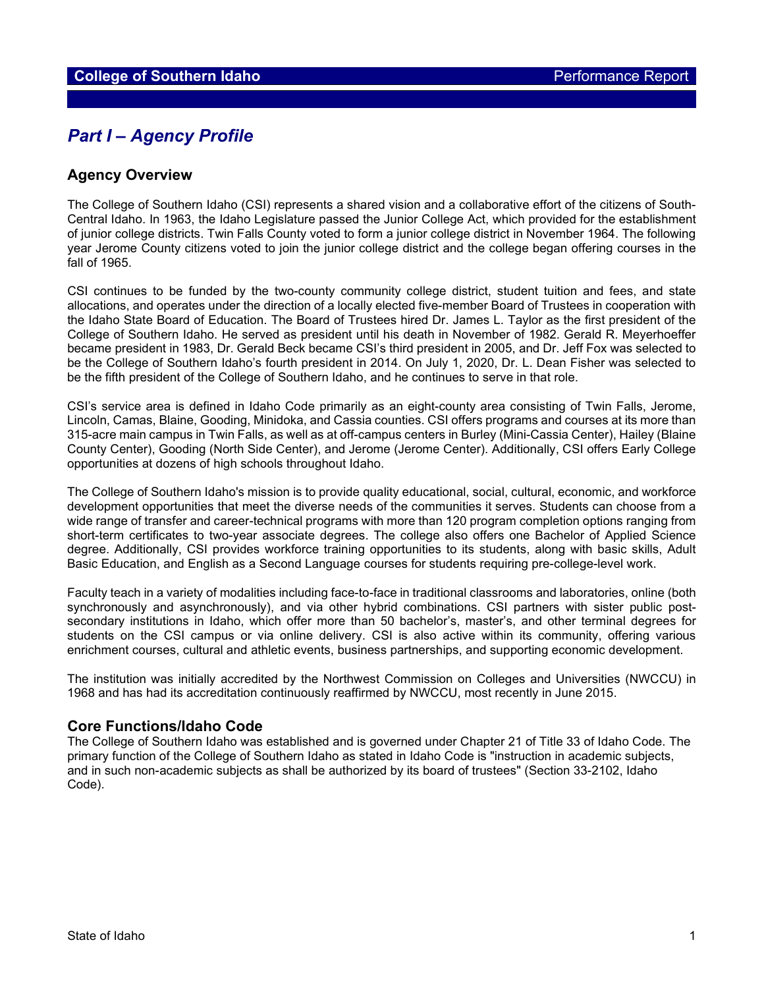# *Part I – Agency Profile*

#### **Agency Overview**

The College of Southern Idaho (CSI) represents a shared vision and a collaborative effort of the citizens of South-Central Idaho. In 1963, the Idaho Legislature passed the Junior College Act, which provided for the establishment of junior college districts. Twin Falls County voted to form a junior college district in November 1964. The following year Jerome County citizens voted to join the junior college district and the college began offering courses in the fall of 1965.

CSI continues to be funded by the two-county community college district, student tuition and fees, and state allocations, and operates under the direction of a locally elected five-member Board of Trustees in cooperation with the Idaho State Board of Education. The Board of Trustees hired Dr. James L. Taylor as the first president of the College of Southern Idaho. He served as president until his death in November of 1982. Gerald R. Meyerhoeffer became president in 1983, Dr. Gerald Beck became CSI's third president in 2005, and Dr. Jeff Fox was selected to be the College of Southern Idaho's fourth president in 2014. On July 1, 2020, Dr. L. Dean Fisher was selected to be the fifth president of the College of Southern Idaho, and he continues to serve in that role.

CSI's service area is defined in Idaho Code primarily as an eight-county area consisting of Twin Falls, Jerome, Lincoln, Camas, Blaine, Gooding, Minidoka, and Cassia counties. CSI offers programs and courses at its more than 315-acre main campus in Twin Falls, as well as at off-campus centers in Burley (Mini-Cassia Center), Hailey (Blaine County Center), Gooding (North Side Center), and Jerome (Jerome Center). Additionally, CSI offers Early College opportunities at dozens of high schools throughout Idaho.

The College of Southern Idaho's mission is to provide quality educational, social, cultural, economic, and workforce development opportunities that meet the diverse needs of the communities it serves. Students can choose from a wide range of transfer and career-technical programs with more than 120 program completion options ranging from short-term certificates to two-year associate degrees. The college also offers one Bachelor of Applied Science degree. Additionally, CSI provides workforce training opportunities to its students, along with basic skills, Adult Basic Education, and English as a Second Language courses for students requiring pre-college-level work.

Faculty teach in a variety of modalities including face-to-face in traditional classrooms and laboratories, online (both synchronously and asynchronously), and via other hybrid combinations. CSI partners with sister public postsecondary institutions in Idaho, which offer more than 50 bachelor's, master's, and other terminal degrees for students on the CSI campus or via online delivery. CSI is also active within its community, offering various enrichment courses, cultural and athletic events, business partnerships, and supporting economic development.

The institution was initially accredited by the Northwest Commission on Colleges and Universities (NWCCU) in 1968 and has had its accreditation continuously reaffirmed by NWCCU, most recently in June 2015.

#### **Core Functions/Idaho Code**

The College of Southern Idaho was established and is governed under Chapter 21 of Title 33 of Idaho Code. The primary function of the College of Southern Idaho as stated in Idaho Code is "instruction in academic subjects, and in such non-academic subjects as shall be authorized by its board of trustees" (Section 33-2102, Idaho Code).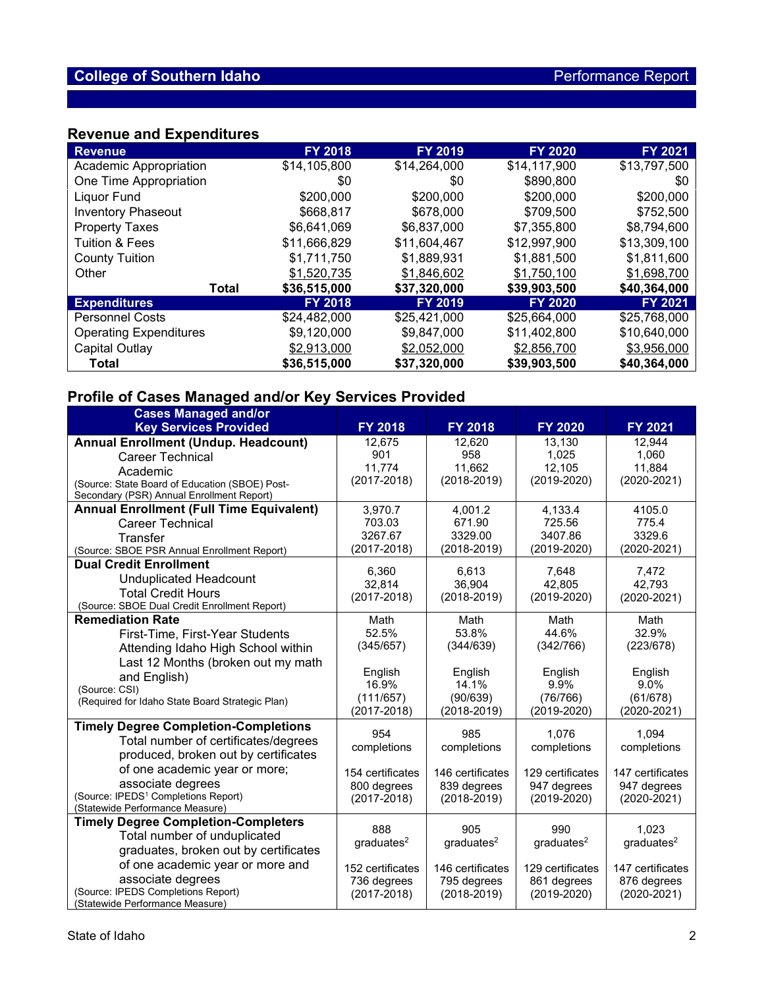## **Revenue and Expenditures**

| <b>Revenue</b>                | <b>FY 2018</b> | <b>FY 2019</b> | <b>FY 2020</b> | <b>FY 2021</b> |
|-------------------------------|----------------|----------------|----------------|----------------|
| Academic Appropriation        | \$14,105,800   | \$14,264,000   | \$14,117,900   | \$13,797,500   |
| One Time Appropriation        | \$0            | \$0            | \$890,800      | \$0            |
| Liquor Fund                   | \$200,000      | \$200,000      | \$200,000      | \$200,000      |
| <b>Inventory Phaseout</b>     | \$668,817      | \$678,000      | \$709,500      | \$752,500      |
| <b>Property Taxes</b>         | \$6,641,069    | \$6,837,000    | \$7,355,800    | \$8,794,600    |
| <b>Tuition &amp; Fees</b>     | \$11,666,829   | \$11,604,467   | \$12,997,900   | \$13,309,100   |
| <b>County Tuition</b>         | \$1,711,750    | \$1,889,931    | \$1,881,500    | \$1,811,600    |
| Other                         | \$1,520,735    | \$1,846,602    | \$1,750,100    | \$1,698,700    |
| <b>Total</b>                  | \$36,515,000   | \$37,320,000   | \$39,903,500   | \$40,364,000   |
| <b>Expenditures</b>           | <b>FY 2018</b> | <b>FY 2019</b> | <b>FY 2020</b> | <b>FY 2021</b> |
| <b>Personnel Costs</b>        | \$24,482,000   | \$25,421,000   | \$25,664,000   | \$25,768,000   |
| <b>Operating Expenditures</b> | \$9,120,000    | \$9,847,000    | \$11,402,800   | \$10,640,000   |
| Capital Outlay                | \$2,913,000    | \$2,052,000    | \$2,856,700    | \$3,956,000    |
| <b>Total</b>                  | \$36,515,000   | \$37,320,000   | \$39,903,500   | \$40,364,000   |

## **Profile of Cases Managed and/or Key Services Provided**

| <b>Cases Managed and/or</b>                                                                                                                                                       |                                                    |                                                    |                                                    |                                                    |
|-----------------------------------------------------------------------------------------------------------------------------------------------------------------------------------|----------------------------------------------------|----------------------------------------------------|----------------------------------------------------|----------------------------------------------------|
| <b>Key Services Provided</b>                                                                                                                                                      | <b>FY 2018</b>                                     | FY 2018                                            | <b>FY 2020</b>                                     | FY 2021                                            |
| <b>Annual Enrollment (Undup. Headcount)</b><br><b>Career Technical</b><br>Academic<br>(Source: State Board of Education (SBOE) Post-<br>Secondary (PSR) Annual Enrollment Report) | 12,675<br>901<br>11.774<br>$(2017 - 2018)$         | 12,620<br>958<br>11,662<br>$(2018 - 2019)$         | 13,130<br>1.025<br>12,105<br>$(2019 - 2020)$       | 12,944<br>1.060<br>11,884<br>$(2020 - 2021)$       |
| <b>Annual Enrollment (Full Time Equivalent)</b><br><b>Career Technical</b><br>Transfer<br>(Source: SBOE PSR Annual Enrollment Report)                                             | 3,970.7<br>703.03<br>3267.67<br>$(2017 - 2018)$    | 4,001.2<br>671.90<br>3329.00<br>$(2018 - 2019)$    | 4,133.4<br>725.56<br>3407.86<br>$(2019 - 2020)$    | 4105.0<br>775.4<br>3329.6<br>$(2020 - 2021)$       |
| <b>Dual Credit Enrollment</b><br><b>Unduplicated Headcount</b><br><b>Total Credit Hours</b><br>(Source: SBOE Dual Credit Enrollment Report)                                       | 6.360<br>32.814<br>$(2017 - 2018)$                 | 6.613<br>36.904<br>$(2018 - 2019)$                 | 7.648<br>42.805<br>$(2019 - 2020)$                 | 7,472<br>42.793<br>$(2020 - 2021)$                 |
| <b>Remediation Rate</b><br>First-Time, First-Year Students<br>Attending Idaho High School within<br>Last 12 Months (broken out my math<br>and English)                            | Math<br>52.5%<br>(345/657)<br>English              | Math<br>53.8%<br>(344/639)<br>English              | Math<br>44.6%<br>(342/766)<br>English              | Math<br>32.9%<br>(223/678)<br>English              |
| (Source: CSI)<br>(Required for Idaho State Board Strategic Plan)                                                                                                                  | 16.9%<br>(111/657)<br>$(2017 - 2018)$              | 14.1%<br>(90/639)<br>$(2018 - 2019)$               | 9.9%<br>(76/766)<br>$(2019 - 2020)$                | $9.0\%$<br>(61/678)<br>$(2020 - 2021)$             |
| <b>Timely Degree Completion-Completions</b><br>Total number of certificates/degrees<br>produced, broken out by certificates                                                       | 954<br>completions                                 | 985<br>completions                                 | 1.076<br>completions                               | 1.094<br>completions                               |
| of one academic year or more;<br>associate degrees<br>(Source: IPEDS <sup>1</sup> Completions Report)<br>(Statewide Performance Measure)                                          | 154 certificates<br>800 degrees<br>$(2017 - 2018)$ | 146 certificates<br>839 degrees<br>$(2018 - 2019)$ | 129 certificates<br>947 degrees<br>$(2019 - 2020)$ | 147 certificates<br>947 degrees<br>$(2020 - 2021)$ |
| <b>Timely Degree Completion-Completers</b><br>Total number of unduplicated<br>graduates, broken out by certificates                                                               | 888<br>graduates <sup>2</sup>                      | 905<br>graduates <sup>2</sup>                      | 990<br>graduates <sup>2</sup>                      | 1,023<br>graduates <sup>2</sup>                    |
| of one academic year or more and<br>associate degrees<br>(Source: IPEDS Completions Report)<br>(Statewide Performance Measure)                                                    | 152 certificates<br>736 degrees<br>$(2017 - 2018)$ | 146 certificates<br>795 degrees<br>$(2018 - 2019)$ | 129 certificates<br>861 degrees<br>$(2019 - 2020)$ | 147 certificates<br>876 degrees<br>$(2020 - 2021)$ |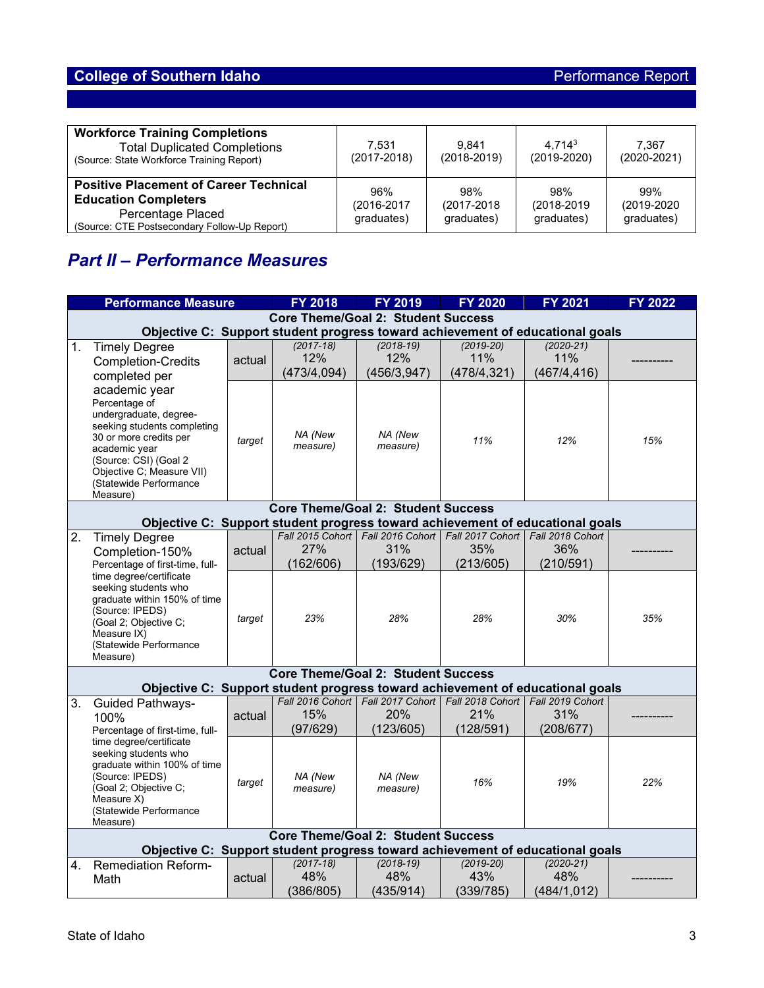| <b>Workforce Training Completions</b><br><b>Total Duplicated Completions</b><br>(Source: State Workforce Training Report)                         | 7.531<br>$(2017 - 2018)$         | 9.841<br>$(2018 - 2019)$         | 4.7143<br>$(2019 - 2020)$        | 7.367<br>$(2020 - 2021)$         |
|---------------------------------------------------------------------------------------------------------------------------------------------------|----------------------------------|----------------------------------|----------------------------------|----------------------------------|
| <b>Positive Placement of Career Technical</b><br><b>Education Completers</b><br>Percentage Placed<br>(Source: CTE Postsecondary Follow-Up Report) | 96%<br>(2016-2017)<br>graduates) | 98%<br>(2017-2018)<br>graduates) | 98%<br>(2018-2019)<br>graduates) | 99%<br>(2019-2020)<br>graduates) |

# *Part II – Performance Measures*

|    | <b>Performance Measure</b>                                                                                                                                                                                                                            |        | <b>FY 2018</b>                            | <b>FY 2019</b>                       | <b>FY 2020</b>                                                               | FY 2021                              | FY 2022 |  |
|----|-------------------------------------------------------------------------------------------------------------------------------------------------------------------------------------------------------------------------------------------------------|--------|-------------------------------------------|--------------------------------------|------------------------------------------------------------------------------|--------------------------------------|---------|--|
|    | <b>Core Theme/Goal 2: Student Success</b>                                                                                                                                                                                                             |        |                                           |                                      |                                                                              |                                      |         |  |
|    | Objective C: Support student progress toward achievement of educational goals                                                                                                                                                                         |        |                                           |                                      |                                                                              |                                      |         |  |
| 1. | <b>Timely Degree</b><br><b>Completion-Credits</b><br>completed per                                                                                                                                                                                    | actual | $(2017 - 18)$<br>12%<br>(473/4,094)       | $(2018-19)$<br>12%<br>(456/3, 947)   | $(2019 - 20)$<br>11%<br>(478/4, 321)                                         | $(2020 - 21)$<br>11%<br>(467/4, 416) |         |  |
|    | academic year<br>Percentage of<br>undergraduate, degree-<br>seeking students completing<br>30 or more credits per<br>academic year<br>(Source: CSI) (Goal 2<br>Objective C; Measure VII)<br>(Statewide Performance<br>Measure)                        | target | NA (New<br>measure)                       | NA (New<br>measure)                  | 11%                                                                          | 12%                                  | 15%     |  |
|    |                                                                                                                                                                                                                                                       |        | <b>Core Theme/Goal 2: Student Success</b> |                                      |                                                                              |                                      |         |  |
|    | Objective C: Support student progress toward achievement of educational goals                                                                                                                                                                         |        |                                           |                                      |                                                                              |                                      |         |  |
| 2. | <b>Timely Degree</b><br>Completion-150%<br>Percentage of first-time, full-                                                                                                                                                                            | actual | 27%<br>(162/606)                          | 31%<br>(193/629)                     | Fall 2015 Cohort   Fall 2016 Cohort   Fall 2017 Cohort  <br>35%<br>(213/605) | Fall 2018 Cohort<br>36%<br>(210/591) |         |  |
|    | time degree/certificate<br>seeking students who<br>graduate within 150% of time<br>(Source: IPEDS)<br>(Goal 2; Objective C;<br>Measure IX)<br>(Statewide Performance<br>Measure)                                                                      | target | 23%                                       | 28%                                  | 28%                                                                          | 30%                                  | 35%     |  |
|    | <b>Core Theme/Goal 2: Student Success</b>                                                                                                                                                                                                             |        |                                           |                                      |                                                                              |                                      |         |  |
|    | Objective C: Support student progress toward achievement of educational goals                                                                                                                                                                         |        |                                           |                                      |                                                                              |                                      |         |  |
| 3. | <b>Guided Pathways-</b><br>100%<br>Percentage of first-time, full-<br>time degree/certificate<br>seeking students who<br>graduate within 100% of time<br>(Source: IPEDS)<br>(Goal 2; Objective C;<br>Measure X)<br>(Statewide Performance<br>Measure) | actual | Fall 2016 Cohort<br>15%<br>(97/629)       | Fall 2017 Cohort<br>20%<br>(123/605) | Fall 2018 Cohort<br>21%<br>(128/591)                                         | Fall 2019 Cohort<br>31%<br>(208/677) |         |  |
|    |                                                                                                                                                                                                                                                       | target | NA (New<br>measure)                       | NA (New<br>measure)                  | 16%                                                                          | 19%                                  | 22%     |  |
|    | <b>Core Theme/Goal 2: Student Success</b>                                                                                                                                                                                                             |        |                                           |                                      |                                                                              |                                      |         |  |
|    | Objective C: Support student progress toward achievement of educational goals                                                                                                                                                                         |        |                                           |                                      |                                                                              |                                      |         |  |
| 4. | <b>Remediation Reform-</b><br>Math                                                                                                                                                                                                                    | actual | $(2017 - 18)$<br>48%<br>(386/805)         | $(2018-19)$<br>48%<br>(435/914)      | $(2019-20)$<br>43%<br>(339/785)                                              | $(2020 - 21)$<br>48%<br>(484/1, 012) |         |  |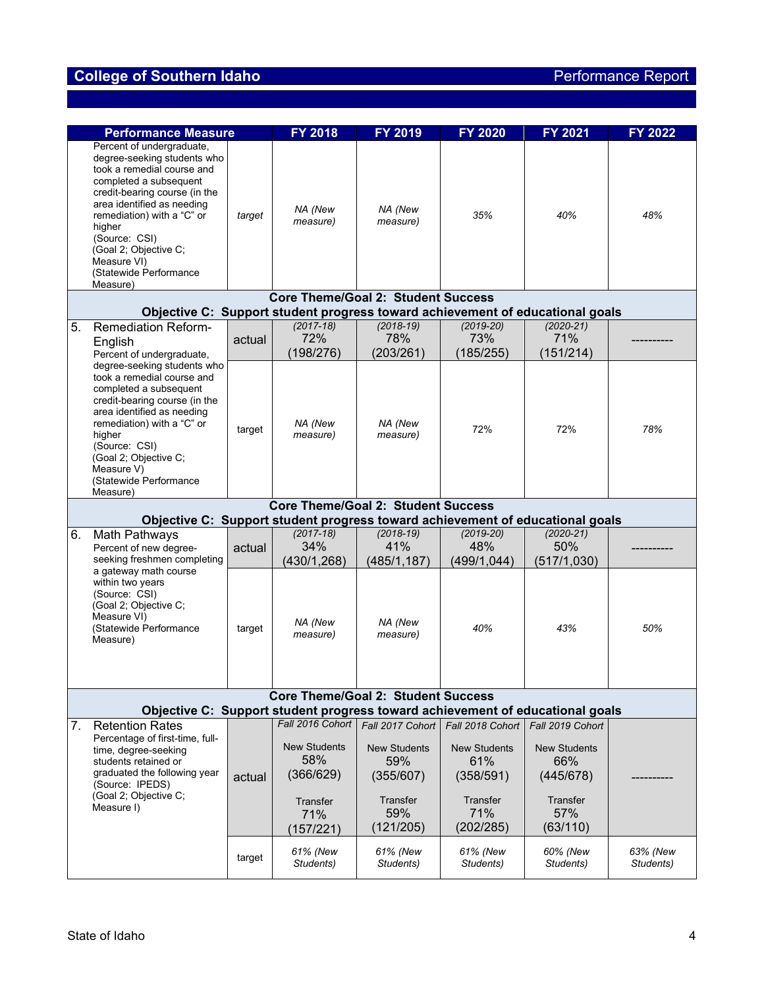# **College of Southern Idaho Performance Report**

|                                                                                                                            | <b>Performance Measure</b>                                                                                                                                                                                                                                                                                             |        | <b>FY 2018</b>                                                          | <b>FY 2019</b>                                                          | <b>FY 2020</b>                                                          | <b>FY 2021</b>                                                         | <b>FY 2022</b>        |  |
|----------------------------------------------------------------------------------------------------------------------------|------------------------------------------------------------------------------------------------------------------------------------------------------------------------------------------------------------------------------------------------------------------------------------------------------------------------|--------|-------------------------------------------------------------------------|-------------------------------------------------------------------------|-------------------------------------------------------------------------|------------------------------------------------------------------------|-----------------------|--|
|                                                                                                                            | Percent of undergraduate,<br>degree-seeking students who<br>took a remedial course and<br>completed a subsequent<br>credit-bearing course (in the<br>area identified as needing<br>remediation) with a "C" or<br>higher<br>(Source: CSI)<br>(Goal 2; Objective C;<br>Measure VI)<br>(Statewide Performance<br>Measure) | target | NA (New<br>measure)                                                     | NA (New<br>measure)                                                     | 35%                                                                     | 40%                                                                    | 48%                   |  |
|                                                                                                                            |                                                                                                                                                                                                                                                                                                                        |        | <b>Core Theme/Goal 2: Student Success</b>                               |                                                                         |                                                                         |                                                                        |                       |  |
| 5.                                                                                                                         | Objective C: Support student progress toward achievement of educational goals<br><b>Remediation Reform-</b>                                                                                                                                                                                                            |        | $(2017-18)$                                                             | $(2018-19)$                                                             | $(2019 - 20)$                                                           | $(2020 - 21)$                                                          |                       |  |
|                                                                                                                            | English<br>Percent of undergraduate,                                                                                                                                                                                                                                                                                   | actual | 72%<br>(198/276)                                                        | 78%<br>(203/261)                                                        | 73%<br>(185/255)                                                        | 71%<br>(151/214)                                                       |                       |  |
|                                                                                                                            | degree-seeking students who<br>took a remedial course and<br>completed a subsequent<br>credit-bearing course (in the<br>area identified as needing<br>remediation) with a "C" or<br>higher<br>(Source: CSI)<br>(Goal 2; Objective C;<br>Measure V)<br>(Statewide Performance<br>Measure)                               | target | NA (New<br>measure)                                                     | NA (New<br>measure)                                                     | 72%                                                                     | 72%                                                                    | 78%                   |  |
|                                                                                                                            |                                                                                                                                                                                                                                                                                                                        |        | <b>Core Theme/Goal 2: Student Success</b>                               |                                                                         |                                                                         |                                                                        |                       |  |
|                                                                                                                            | Objective C: Support student progress toward achievement of educational goals                                                                                                                                                                                                                                          |        |                                                                         |                                                                         |                                                                         |                                                                        |                       |  |
| 6.                                                                                                                         | <b>Math Pathways</b><br>Percent of new degree-<br>seeking freshmen completing                                                                                                                                                                                                                                          | actual | $(2017 - 18)$<br>34%<br>(430/1, 268)                                    | $(2018-19)$<br>41%<br>(485/1, 187)                                      | $(2019-20)$<br>48%<br>(499/1, 044)                                      | $(2020 - 21)$<br>50%<br>(517/1,030)                                    |                       |  |
|                                                                                                                            | a gateway math course<br>within two years<br>(Source: CSI)<br>(Goal 2; Objective C;<br>Measure VI)<br>(Statewide Performance<br>Measure)                                                                                                                                                                               | target | NA (New<br>measure)                                                     | NA (New<br>measure)                                                     | 40%                                                                     | 43%                                                                    | 50%                   |  |
| <b>Core Theme/Goal 2: Student Success</b><br>Objective C: Support student progress toward achievement of educational goals |                                                                                                                                                                                                                                                                                                                        |        |                                                                         |                                                                         |                                                                         |                                                                        |                       |  |
| 7.                                                                                                                         | <b>Retention Rates</b>                                                                                                                                                                                                                                                                                                 |        | Fall 2016 Cohort                                                        | Fall 2017 Cohort                                                        | Fall 2018 Cohort                                                        | Fall 2019 Cohort                                                       |                       |  |
|                                                                                                                            | Percentage of first-time, full-<br>time, degree-seeking<br>students retained or<br>graduated the following year<br>(Source: IPEDS)<br>(Goal 2; Objective C;<br>Measure I)                                                                                                                                              | actual | <b>New Students</b><br>58%<br>(366/629)<br>Transfer<br>71%<br>(157/221) | <b>New Students</b><br>59%<br>(355/607)<br>Transfer<br>59%<br>(121/205) | <b>New Students</b><br>61%<br>(358/591)<br>Transfer<br>71%<br>(202/285) | <b>New Students</b><br>66%<br>(445/678)<br>Transfer<br>57%<br>(63/110) |                       |  |
|                                                                                                                            |                                                                                                                                                                                                                                                                                                                        | target | 61% (New<br>Students)                                                   | 61% (New<br>Students)                                                   | 61% (New<br>Students)                                                   | 60% (New<br>Students)                                                  | 63% (New<br>Students) |  |